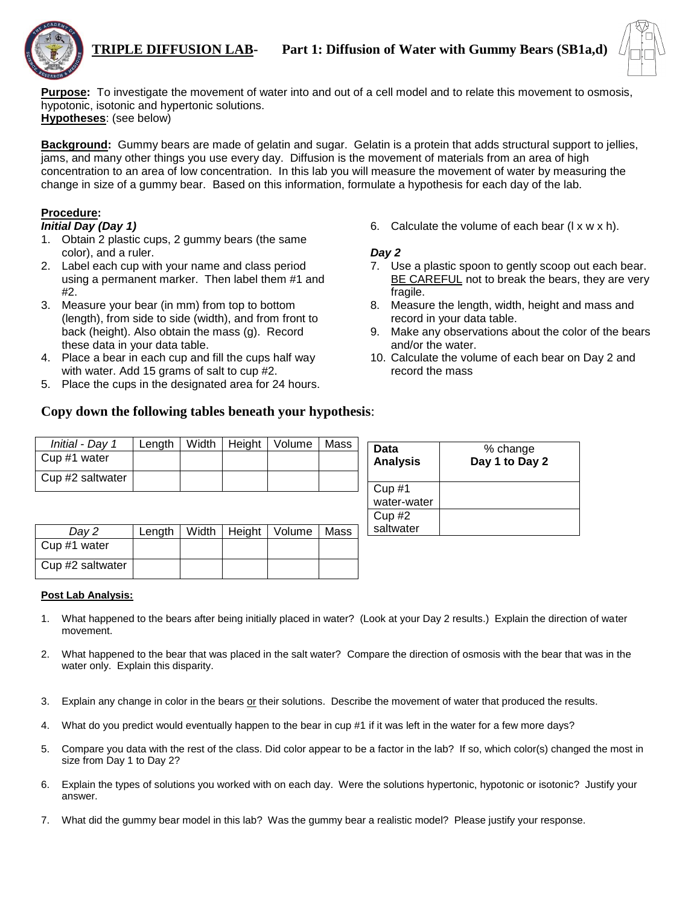



**Purpose:** To investigate the movement of water into and out of a cell model and to relate this movement to osmosis, hypotonic, isotonic and hypertonic solutions. **Hypotheses**: (see below)

**Background:** Gummy bears are made of gelatin and sugar. Gelatin is a protein that adds structural support to jellies, jams, and many other things you use every day. Diffusion is the movement of materials from an area of high concentration to an area of low concentration. In this lab you will measure the movement of water by measuring the change in size of a gummy bear. Based on this information, formulate a hypothesis for each day of the lab.

## **Procedure:**

#### *Initial Day (Day 1)*

- 1. Obtain 2 plastic cups, 2 gummy bears (the same color), and a ruler.
- 2. Label each cup with your name and class period using a permanent marker. Then label them #1 and #2.
- 3. Measure your bear (in mm) from top to bottom (length), from side to side (width), and from front to back (height). Also obtain the mass (g). Record these data in your data table.
- 4. Place a bear in each cup and fill the cups half way with water. Add 15 grams of salt to cup #2.
- 5. Place the cups in the designated area for 24 hours.

6. Calculate the volume of each bear  $(1 \times w \times h)$ .

### *Day 2*

- 7. Use a plastic spoon to gently scoop out each bear. BE CAREFUL not to break the bears, they are very fragile.
- 8. Measure the length, width, height and mass and record in your data table.
- 9. Make any observations about the color of the bears and/or the water.
- 10. Calculate the volume of each bear on Day 2 and record the mass

## **Copy down the following tables beneath your hypothesis**:

| Initial - Day 1  | Length | Width | Height | Volume | Mass | Data            |                            |
|------------------|--------|-------|--------|--------|------|-----------------|----------------------------|
| Cup #1 water     |        |       |        |        |      | <b>Analysis</b> | % change<br>Day 1 to Day 2 |
| Cup #2 saltwater |        |       |        |        |      | Cup#1           |                            |
|                  |        |       |        |        |      | water-water     |                            |
|                  |        |       |        |        |      | Cup#2           |                            |
| Day 2            | Length | Width | Height | Volume | Mass | saltwater       |                            |
| Cup #1 water     |        |       |        |        |      |                 |                            |
| Cup #2 saltwater |        |       |        |        |      |                 |                            |

#### **Post Lab Analysis:**

- 1. What happened to the bears after being initially placed in water? (Look at your Day 2 results.) Explain the direction of water movement.
- 2. What happened to the bear that was placed in the salt water? Compare the direction of osmosis with the bear that was in the water only. Explain this disparity.
- 3. Explain any change in color in the bears or their solutions. Describe the movement of water that produced the results.
- 4. What do you predict would eventually happen to the bear in cup #1 if it was left in the water for a few more days?
- 5. Compare you data with the rest of the class. Did color appear to be a factor in the lab? If so, which color(s) changed the most in size from Day 1 to Day 2?
- 6. Explain the types of solutions you worked with on each day. Were the solutions hypertonic, hypotonic or isotonic? Justify your answer.
- 7. What did the gummy bear model in this lab? Was the gummy bear a realistic model? Please justify your response.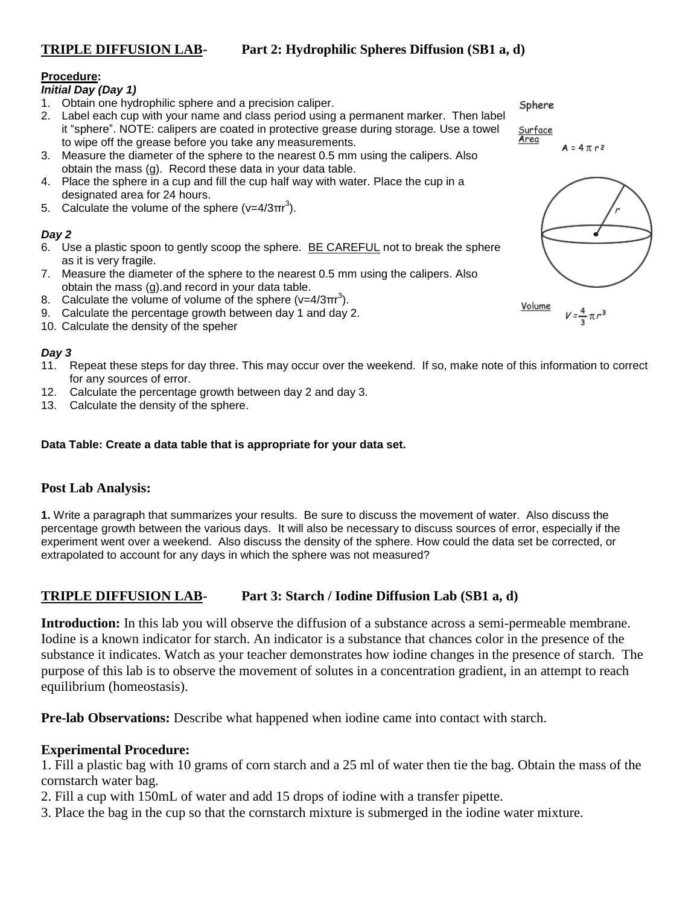# **TRIPLE DIFFUSION LAB- Part 2: Hydrophilic Spheres Diffusion (SB1 a, d)**

## **Procedure:**

#### *Initial Day (Day 1)*

- 1. Obtain one hydrophilic sphere and a precision caliper.
- 2. Label each cup with your name and class period using a permanent marker. Then label it "sphere". NOTE: calipers are coated in protective grease during storage. Use a towel to wipe off the grease before you take any measurements.
- 3. Measure the diameter of the sphere to the nearest 0.5 mm using the calipers. Also obtain the mass (g). Record these data in your data table.
- 4. Place the sphere in a cup and fill the cup half way with water. Place the cup in a designated area for 24 hours.
- 5. Calculate the volume of the sphere  $(v=4/3πr<sup>3</sup>)$ .

### *Day 2*

- 6. Use a plastic spoon to gently scoop the sphere. BE CAREFUL not to break the sphere as it is very fragile.
- 7. Measure the diameter of the sphere to the nearest 0.5 mm using the calipers. Also obtain the mass (g).and record in your data table.
- 8. Calculate the volume of volume of the sphere  $(v=4/3πr<sup>3</sup>)$ .
- 9. Calculate the percentage growth between day 1 and day 2.
- 10. Calculate the density of the speher

### *Day 3*

- 11. Repeat these steps for day three. This may occur over the weekend. If so, make note of this information to correct for any sources of error.
- 12. Calculate the percentage growth between day 2 and day 3.
- 13. Calculate the density of the sphere.

#### **Data Table: Create a data table that is appropriate for your data set.**

## **Post Lab Analysis:**

**1.** Write a paragraph that summarizes your results. Be sure to discuss the movement of water. Also discuss the percentage growth between the various days. It will also be necessary to discuss sources of error, especially if the experiment went over a weekend. Also discuss the density of the sphere. How could the data set be corrected, or extrapolated to account for any days in which the sphere was not measured?

# **TRIPLE DIFFUSION LAB- Part 3: Starch / Iodine Diffusion Lab (SB1 a, d)**

**Introduction:** In this lab you will observe the diffusion of a substance across a semi-permeable membrane. Iodine is a known indicator for starch. An indicator is a substance that chances color in the presence of the substance it indicates. Watch as your teacher demonstrates how iodine changes in the presence of starch. The purpose of this lab is to observe the movement of solutes in a concentration gradient, in an attempt to reach equilibrium (homeostasis).

**Pre-lab Observations:** Describe what happened when iodine came into contact with starch.

## **Experimental Procedure:**

1. Fill a plastic bag with 10 grams of corn starch and a 25 ml of water then tie the bag. Obtain the mass of the cornstarch water bag.

- 2. Fill a cup with 150mL of water and add 15 drops of iodine with a transfer pipette.
- 3. Place the bag in the cup so that the cornstarch mixture is submerged in the iodine water mixture.

Sphere

Surface Area  $A = 4 \pi r^2$ 



Volume  $V = \frac{4}{3} \pi r^3$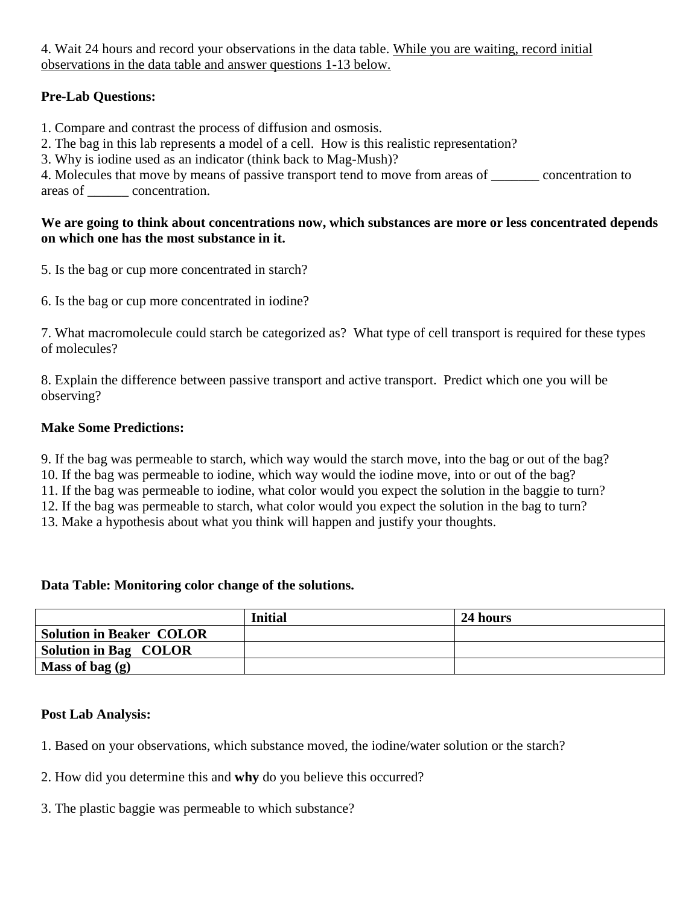4. Wait 24 hours and record your observations in the data table. While you are waiting, record initial observations in the data table and answer questions 1-13 below.

# **Pre-Lab Questions:**

1. Compare and contrast the process of diffusion and osmosis.

2. The bag in this lab represents a model of a cell. How is this realistic representation?

3. Why is iodine used as an indicator (think back to Mag-Mush)?

4. Molecules that move by means of passive transport tend to move from areas of \_\_\_\_\_\_\_ concentration to areas of \_\_\_\_\_\_ concentration.

# **We are going to think about concentrations now, which substances are more or less concentrated depends on which one has the most substance in it.**

5. Is the bag or cup more concentrated in starch?

6. Is the bag or cup more concentrated in iodine?

7. What macromolecule could starch be categorized as? What type of cell transport is required for these types of molecules?

8. Explain the difference between passive transport and active transport. Predict which one you will be observing?

# **Make Some Predictions:**

9. If the bag was permeable to starch, which way would the starch move, into the bag or out of the bag?

10. If the bag was permeable to iodine, which way would the iodine move, into or out of the bag?

11. If the bag was permeable to iodine, what color would you expect the solution in the baggie to turn?

12. If the bag was permeable to starch, what color would you expect the solution in the bag to turn?

13. Make a hypothesis about what you think will happen and justify your thoughts.

# **Data Table: Monitoring color change of the solutions.**

|                                 | <b>Initial</b> | 24 hours |
|---------------------------------|----------------|----------|
| <b>Solution in Beaker COLOR</b> |                |          |
| Solution in Bag COLOR           |                |          |
| Mass of bag $(g)$               |                |          |

# **Post Lab Analysis:**

- 1. Based on your observations, which substance moved, the iodine/water solution or the starch?
- 2. How did you determine this and **why** do you believe this occurred?
- 3. The plastic baggie was permeable to which substance?